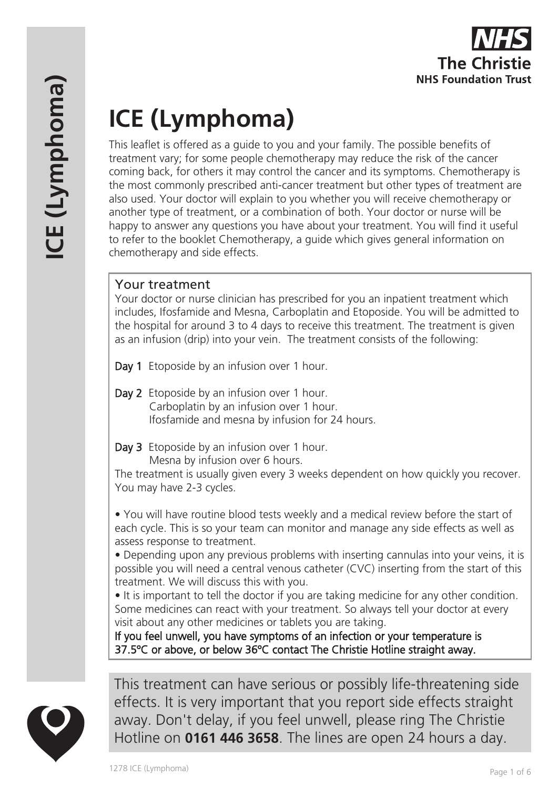

# **ICE (Lymphoma)**

This leaflet is offered as a guide to you and your family. The possible benefits of treatment vary; for some people chemotherapy may reduce the risk of the cancer coming back, for others it may control the cancer and its symptoms. Chemotherapy is the most commonly prescribed anti-cancer treatment but other types of treatment are also used. Your doctor will explain to you whether you will receive chemotherapy or another type of treatment, or a combination of both. Your doctor or nurse will be happy to answer any questions you have about your treatment. You will find it useful to refer to the booklet Chemotherapy, a guide which gives general information on chemotherapy and side effects.

# Your treatment

Your doctor or nurse clinician has prescribed for you an inpatient treatment which includes, Ifosfamide and Mesna, Carboplatin and Etoposide. You will be admitted to the hospital for around 3 to 4 days to receive this treatment. The treatment is given as an infusion (drip) into your vein. The treatment consists of the following:

Day 1 Etoposide by an infusion over 1 hour.

- Day 2 Etoposide by an infusion over 1 hour. Carboplatin by an infusion over 1 hour. Ifosfamide and mesna by infusion for 24 hours.
- Day 3 Etoposide by an infusion over 1 hour. Mesna by infusion over 6 hours.

The treatment is usually given every 3 weeks dependent on how quickly you recover. You may have 2-3 cycles.

• You will have routine blood tests weekly and a medical review before the start of each cycle. This is so your team can monitor and manage any side effects as well as assess response to treatment.

• Depending upon any previous problems with inserting cannulas into your veins, it is possible you will need a central venous catheter (CVC) inserting from the start of this treatment. We will discuss this with you.

• It is important to tell the doctor if you are taking medicine for any other condition. Some medicines can react with your treatment. So always tell your doctor at every visit about any other medicines or tablets you are taking.

If you feel unwell, you have symptoms of an infection or your temperature is 37.5ºC or above, or below 36ºC contact The Christie Hotline straight away.



This treatment can have serious or possibly life-threatening side effects. It is very important that you report side effects straight away. Don't delay, if you feel unwell, please ring The Christie Hotline on **0161 446 3658**. The lines are open 24 hours a day.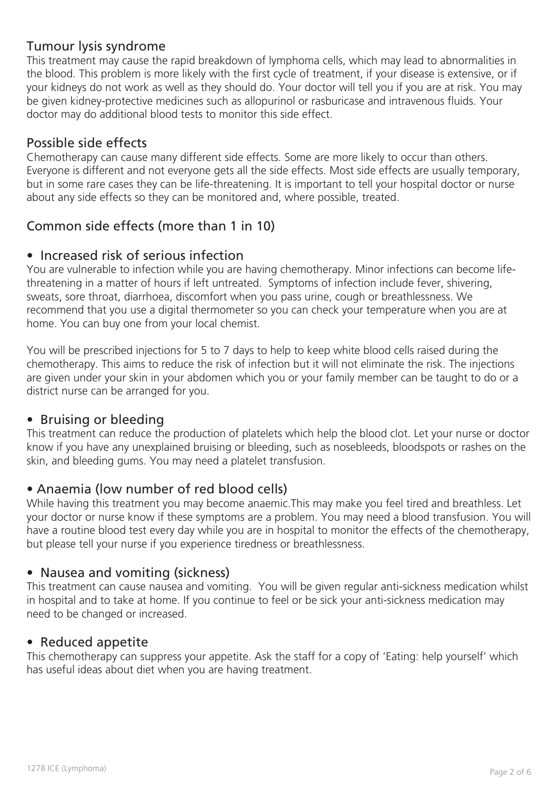# Tumour lysis syndrome

This treatment may cause the rapid breakdown of lymphoma cells, which may lead to abnormalities in the blood. This problem is more likely with the first cycle of treatment, if your disease is extensive, or if your kidneys do not work as well as they should do. Your doctor will tell you if you are at risk. You may be given kidney-protective medicines such as allopurinol or rasburicase and intravenous fluids. Your doctor may do additional blood tests to monitor this side effect.

## Possible side effects

Chemotherapy can cause many different side effects. Some are more likely to occur than others. Everyone is different and not everyone gets all the side effects. Most side effects are usually temporary, but in some rare cases they can be life-threatening. It is important to tell your hospital doctor or nurse about any side effects so they can be monitored and, where possible, treated.

# Common side effects (more than 1 in 10)

#### • Increased risk of serious infection

You are vulnerable to infection while you are having chemotherapy. Minor infections can become lifethreatening in a matter of hours if left untreated. Symptoms of infection include fever, shivering, sweats, sore throat, diarrhoea, discomfort when you pass urine, cough or breathlessness. We recommend that you use a digital thermometer so you can check your temperature when you are at home. You can buy one from your local chemist.

You will be prescribed injections for 5 to 7 days to help to keep white blood cells raised during the chemotherapy. This aims to reduce the risk of infection but it will not eliminate the risk. The injections are given under your skin in your abdomen which you or your family member can be taught to do or a district nurse can be arranged for you.

#### • Bruising or bleeding

This treatment can reduce the production of platelets which help the blood clot. Let your nurse or doctor know if you have any unexplained bruising or bleeding, such as nosebleeds, bloodspots or rashes on the skin, and bleeding gums. You may need a platelet transfusion.

#### • Anaemia (low number of red blood cells)

While having this treatment you may become anaemic.This may make you feel tired and breathless. Let your doctor or nurse know if these symptoms are a problem. You may need a blood transfusion. You will have a routine blood test every day while you are in hospital to monitor the effects of the chemotherapy, but please tell your nurse if you experience tiredness or breathlessness.

#### • Nausea and vomiting (sickness)

This treatment can cause nausea and vomiting. You will be given regular anti-sickness medication whilst in hospital and to take at home. If you continue to feel or be sick your anti-sickness medication may need to be changed or increased.

#### • Reduced appetite

This chemotherapy can suppress your appetite. Ask the staff for a copy of 'Eating: help yourself' which has useful ideas about diet when you are having treatment.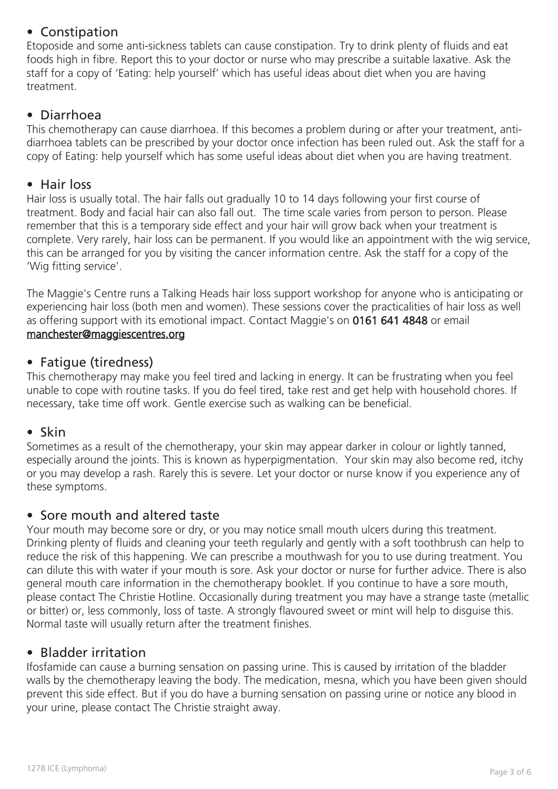# • Constipation

Etoposide and some anti-sickness tablets can cause constipation. Try to drink plenty of fluids and eat foods high in fibre. Report this to your doctor or nurse who may prescribe a suitable laxative. Ask the staff for a copy of 'Eating: help yourself' which has useful ideas about diet when you are having treatment.

# • Diarrhoea

This chemotherapy can cause diarrhoea. If this becomes a problem during or after your treatment, antidiarrhoea tablets can be prescribed by your doctor once infection has been ruled out. Ask the staff for a copy of Eating: help yourself which has some useful ideas about diet when you are having treatment.

#### • Hair loss

Hair loss is usually total. The hair falls out gradually 10 to 14 days following your first course of treatment. Body and facial hair can also fall out. The time scale varies from person to person. Please remember that this is a temporary side effect and your hair will grow back when your treatment is complete. Very rarely, hair loss can be permanent. If you would like an appointment with the wig service, this can be arranged for you by visiting the cancer information centre. Ask the staff for a copy of the 'Wig fitting service'.

The Maggie's Centre runs a Talking Heads hair loss support workshop for anyone who is anticipating or experiencing hair loss (both men and women). These sessions cover the practicalities of hair loss as well as offering support with its emotional impact. Contact Maggie's on 0161 641 4848 or email manchester@maggiescentres.org

#### • Fatigue (tiredness)

This chemotherapy may make you feel tired and lacking in energy. It can be frustrating when you feel unable to cope with routine tasks. If you do feel tired, take rest and get help with household chores. If necessary, take time off work. Gentle exercise such as walking can be beneficial.

#### • Skin

Sometimes as a result of the chemotherapy, your skin may appear darker in colour or lightly tanned, especially around the joints. This is known as hyperpigmentation. Your skin may also become red, itchy or you may develop a rash. Rarely this is severe. Let your doctor or nurse know if you experience any of these symptoms.

#### • Sore mouth and altered taste

Your mouth may become sore or dry, or you may notice small mouth ulcers during this treatment. Drinking plenty of fluids and cleaning your teeth regularly and gently with a soft toothbrush can help to reduce the risk of this happening. We can prescribe a mouthwash for you to use during treatment. You can dilute this with water if your mouth is sore. Ask your doctor or nurse for further advice. There is also general mouth care information in the chemotherapy booklet. If you continue to have a sore mouth, please contact The Christie Hotline. Occasionally during treatment you may have a strange taste (metallic or bitter) or, less commonly, loss of taste. A strongly flavoured sweet or mint will help to disguise this. Normal taste will usually return after the treatment finishes.

#### • Bladder irritation

Ifosfamide can cause a burning sensation on passing urine. This is caused by irritation of the bladder walls by the chemotherapy leaving the body. The medication, mesna, which you have been given should prevent this side effect. But if you do have a burning sensation on passing urine or notice any blood in your urine, please contact The Christie straight away.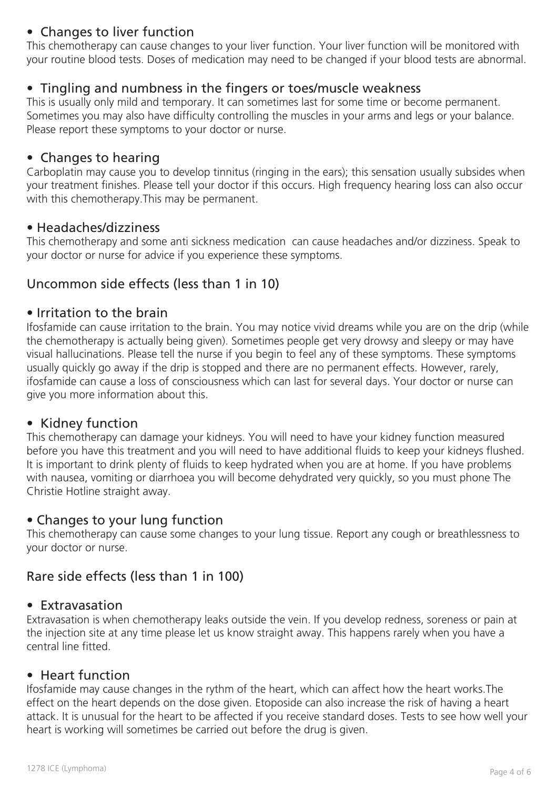# • Changes to liver function

This chemotherapy can cause changes to your liver function. Your liver function will be monitored with your routine blood tests. Doses of medication may need to be changed if your blood tests are abnormal.

#### • Tingling and numbness in the fingers or toes/muscle weakness

This is usually only mild and temporary. It can sometimes last for some time or become permanent. Sometimes you may also have difficulty controlling the muscles in your arms and legs or your balance. Please report these symptoms to your doctor or nurse.

#### • Changes to hearing

Carboplatin may cause you to develop tinnitus (ringing in the ears); this sensation usually subsides when your treatment finishes. Please tell your doctor if this occurs. High frequency hearing loss can also occur with this chemotherapy.This may be permanent.

#### • Headaches/dizziness

This chemotherapy and some anti sickness medication can cause headaches and/or dizziness. Speak to your doctor or nurse for advice if you experience these symptoms.

## Uncommon side effects (less than 1 in 10)

#### • Irritation to the brain

Ifosfamide can cause irritation to the brain. You may notice vivid dreams while you are on the drip (while the chemotherapy is actually being given). Sometimes people get very drowsy and sleepy or may have visual hallucinations. Please tell the nurse if you begin to feel any of these symptoms. These symptoms usually quickly go away if the drip is stopped and there are no permanent effects. However, rarely, ifosfamide can cause a loss of consciousness which can last for several days. Your doctor or nurse can give you more information about this.

#### • Kidney function

This chemotherapy can damage your kidneys. You will need to have your kidney function measured before you have this treatment and you will need to have additional fluids to keep your kidneys flushed. It is important to drink plenty of fluids to keep hydrated when you are at home. If you have problems with nausea, vomiting or diarrhoea you will become dehydrated very quickly, so you must phone The Christie Hotline straight away.

#### • Changes to your lung function

This chemotherapy can cause some changes to your lung tissue. Report any cough or breathlessness to your doctor or nurse.

#### Rare side effects (less than 1 in 100)

#### • Extravasation

Extravasation is when chemotherapy leaks outside the vein. If you develop redness, soreness or pain at the injection site at any time please let us know straight away. This happens rarely when you have a central line fitted.

#### • Heart function

Ifosfamide may cause changes in the rythm of the heart, which can affect how the heart works.The effect on the heart depends on the dose given. Etoposide can also increase the risk of having a heart attack. It is unusual for the heart to be affected if you receive standard doses. Tests to see how well your heart is working will sometimes be carried out before the drug is given.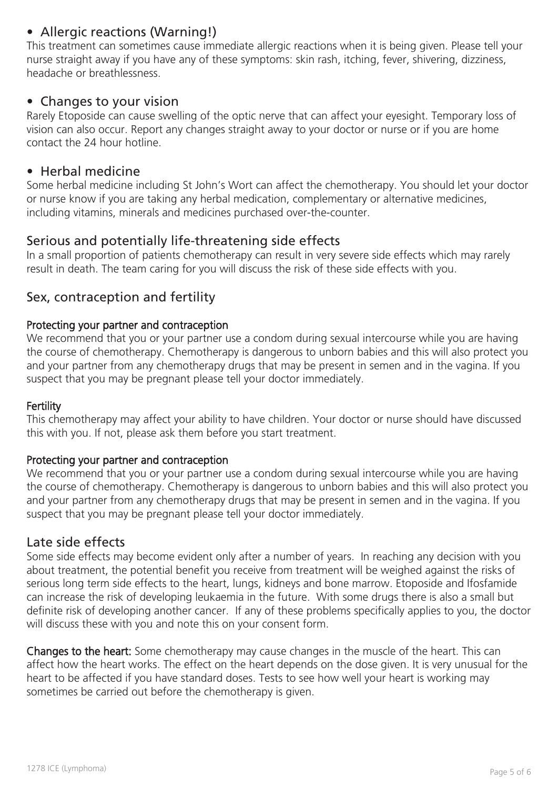# • Allergic reactions (Warning!)

This treatment can sometimes cause immediate allergic reactions when it is being given. Please tell your nurse straight away if you have any of these symptoms: skin rash, itching, fever, shivering, dizziness, headache or breathlessness.

#### • Changes to your vision

Rarely Etoposide can cause swelling of the optic nerve that can affect your eyesight. Temporary loss of vision can also occur. Report any changes straight away to your doctor or nurse or if you are home contact the 24 hour hotline.

#### • Herbal medicine

Some herbal medicine including St John's Wort can affect the chemotherapy. You should let your doctor or nurse know if you are taking any herbal medication, complementary or alternative medicines, including vitamins, minerals and medicines purchased over-the-counter.

## Serious and potentially life-threatening side effects

In a small proportion of patients chemotherapy can result in very severe side effects which may rarely result in death. The team caring for you will discuss the risk of these side effects with you.

#### Sex, contraception and fertility

#### Protecting your partner and contraception

We recommend that you or your partner use a condom during sexual intercourse while you are having the course of chemotherapy. Chemotherapy is dangerous to unborn babies and this will also protect you and your partner from any chemotherapy drugs that may be present in semen and in the vagina. If you suspect that you may be pregnant please tell your doctor immediately.

#### **Fertility**

This chemotherapy may affect your ability to have children. Your doctor or nurse should have discussed this with you. If not, please ask them before you start treatment.

#### Protecting your partner and contraception

We recommend that you or your partner use a condom during sexual intercourse while you are having the course of chemotherapy. Chemotherapy is dangerous to unborn babies and this will also protect you and your partner from any chemotherapy drugs that may be present in semen and in the vagina. If you suspect that you may be pregnant please tell your doctor immediately.

#### Late side effects

Some side effects may become evident only after a number of years. In reaching any decision with you about treatment, the potential benefit you receive from treatment will be weighed against the risks of serious long term side effects to the heart, lungs, kidneys and bone marrow. Etoposide and Ifosfamide can increase the risk of developing leukaemia in the future. With some drugs there is also a small but definite risk of developing another cancer. If any of these problems specifically applies to you, the doctor will discuss these with you and note this on your consent form.

Changes to the heart: Some chemotherapy may cause changes in the muscle of the heart. This can affect how the heart works. The effect on the heart depends on the dose given. It is very unusual for the heart to be affected if you have standard doses. Tests to see how well your heart is working may sometimes be carried out before the chemotherapy is given.